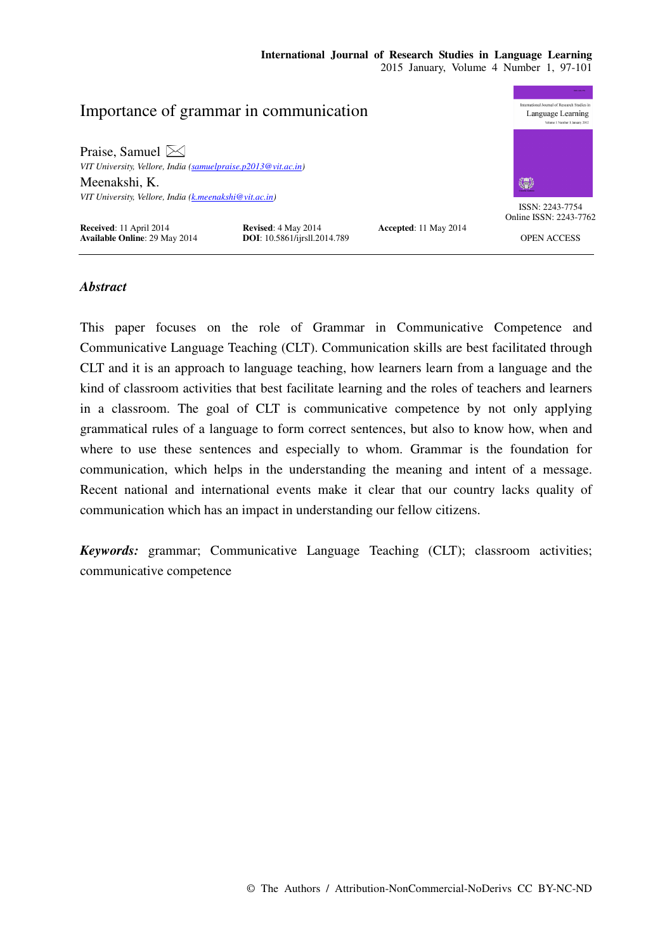## **International Journal of Research Studies in Language Learning**  2015 January, Volume 4 Number 1, 97-101



# *Abstract*

This paper focuses on the role of Grammar in Communicative Competence and Communicative Language Teaching (CLT). Communication skills are best facilitated through CLT and it is an approach to language teaching, how learners learn from a language and the kind of classroom activities that best facilitate learning and the roles of teachers and learners in a classroom. The goal of CLT is communicative competence by not only applying grammatical rules of a language to form correct sentences, but also to know how, when and where to use these sentences and especially to whom. Grammar is the foundation for communication, which helps in the understanding the meaning and intent of a message. Recent national and international events make it clear that our country lacks quality of communication which has an impact in understanding our fellow citizens.

*Keywords:* grammar; Communicative Language Teaching (CLT); classroom activities; communicative competence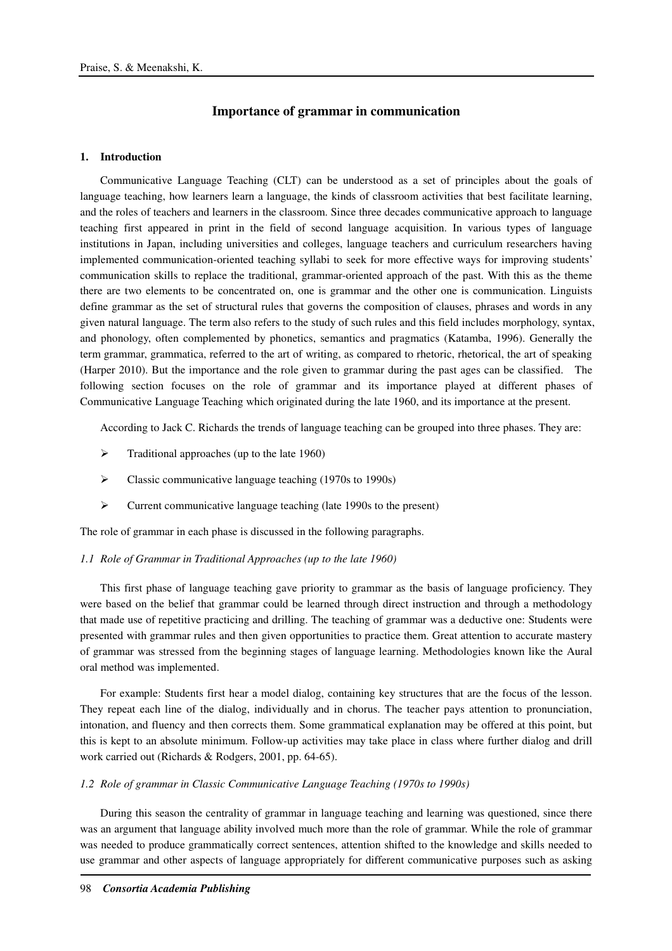## **Importance of grammar in communication**

### **1. Introduction**

Communicative Language Teaching (CLT) can be understood as a set of principles about the goals of language teaching, how learners learn a language, the kinds of classroom activities that best facilitate learning, and the roles of teachers and learners in the classroom. Since three decades communicative approach to language teaching first appeared in print in the field of second language acquisition. In various types of language institutions in Japan, including universities and colleges, language teachers and curriculum researchers having implemented communication-oriented teaching syllabi to seek for more effective ways for improving students' communication skills to replace the traditional, grammar-oriented approach of the past. With this as the theme there are two elements to be concentrated on, one is grammar and the other one is communication. Linguists define grammar as the set of structural rules that governs the composition of clauses, phrases and words in any given natural language. The term also refers to the study of such rules and this field includes morphology, syntax, and phonology, often complemented by phonetics, semantics and pragmatics (Katamba, 1996). Generally the term grammar, grammatica, referred to the art of writing, as compared to rhetoric, rhetorical, the art of speaking (Harper 2010). But the importance and the role given to grammar during the past ages can be classified. The following section focuses on the role of grammar and its importance played at different phases of Communicative Language Teaching which originated during the late 1960, and its importance at the present.

According to Jack C. Richards the trends of language teaching can be grouped into three phases. They are:

- $\triangleright$  Traditional approaches (up to the late 1960)
- Classic communicative language teaching (1970s to 1990s)
- Current communicative language teaching (late 1990s to the present)

The role of grammar in each phase is discussed in the following paragraphs.

#### *1.1 Role of Grammar in Traditional Approaches (up to the late 1960)*

This first phase of language teaching gave priority to grammar as the basis of language proficiency. They were based on the belief that grammar could be learned through direct instruction and through a methodology that made use of repetitive practicing and drilling. The teaching of grammar was a deductive one: Students were presented with grammar rules and then given opportunities to practice them. Great attention to accurate mastery of grammar was stressed from the beginning stages of language learning. Methodologies known like the Aural oral method was implemented.

For example: Students first hear a model dialog, containing key structures that are the focus of the lesson. They repeat each line of the dialog, individually and in chorus. The teacher pays attention to pronunciation, intonation, and fluency and then corrects them. Some grammatical explanation may be offered at this point, but this is kept to an absolute minimum. Follow-up activities may take place in class where further dialog and drill work carried out (Richards & Rodgers, 2001, pp. 64-65).

### *1.2 Role of grammar in Classic Communicative Language Teaching (1970s to 1990s)*

During this season the centrality of grammar in language teaching and learning was questioned, since there was an argument that language ability involved much more than the role of grammar. While the role of grammar was needed to produce grammatically correct sentences, attention shifted to the knowledge and skills needed to use grammar and other aspects of language appropriately for different communicative purposes such as asking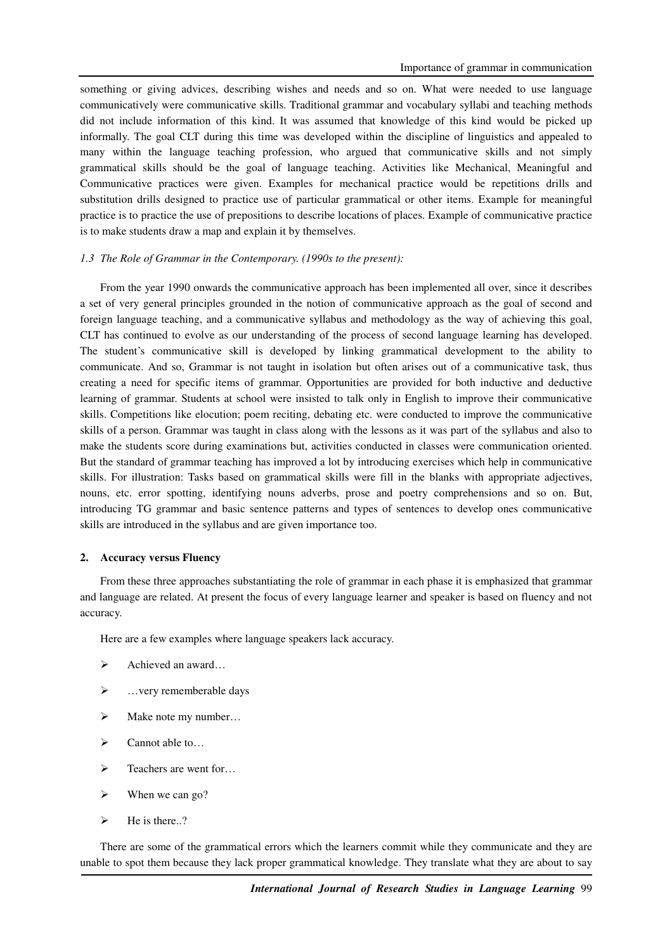something or giving advices, describing wishes and needs and so on. What were needed to use language communicatively were communicative skills. Traditional grammar and vocabulary syllabi and teaching methods did not include information of this kind. It was assumed that knowledge of this kind would be picked up informally. The goal CLT during this time was developed within the discipline of linguistics and appealed to many within the language teaching profession, who argued that communicative skills and not simply grammatical skills should be the goal of language teaching. Activities like Mechanical, Meaningful and Communicative practices were given. Examples for mechanical practice would be repetitions drills and substitution drills designed to practice use of particular grammatical or other items. Example for meaningful practice is to practice the use of prepositions to describe locations of places. Example of communicative practice is to make students draw a map and explain it by themselves.

### *1.3 The Role of Grammar in the Contemporary. (1990s to the present):*

From the year 1990 onwards the communicative approach has been implemented all over, since it describes a set of very general principles grounded in the notion of communicative approach as the goal of second and foreign language teaching, and a communicative syllabus and methodology as the way of achieving this goal, CLT has continued to evolve as our understanding of the process of second language learning has developed. The student's communicative skill is developed by linking grammatical development to the ability to communicate. And so, Grammar is not taught in isolation but often arises out of a communicative task, thus creating a need for specific items of grammar. Opportunities are provided for both inductive and deductive learning of grammar. Students at school were insisted to talk only in English to improve their communicative skills. Competitions like elocution; poem reciting, debating etc. were conducted to improve the communicative skills of a person. Grammar was taught in class along with the lessons as it was part of the syllabus and also to make the students score during examinations but, activities conducted in classes were communication oriented. But the standard of grammar teaching has improved a lot by introducing exercises which help in communicative skills. For illustration: Tasks based on grammatical skills were fill in the blanks with appropriate adjectives, nouns, etc. error spotting, identifying nouns adverbs, prose and poetry comprehensions and so on. But, introducing TG grammar and basic sentence patterns and types of sentences to develop ones communicative skills are introduced in the syllabus and are given importance too.

#### **2. Accuracy versus Fluency**

From these three approaches substantiating the role of grammar in each phase it is emphasized that grammar and language are related. At present the focus of every language learner and speaker is based on fluency and not accuracy.

Here are a few examples where language speakers lack accuracy.

- $\triangleright$  Achieved an award...
- $\triangleright$  ... very rememberable days
- $\triangleright$  Make note my number...
- $\triangleright$  Cannot able to...
- $\triangleright$  Teachers are went for...
- $\triangleright$  When we can go?
- $\blacktriangleright$  He is there..?

There are some of the grammatical errors which the learners commit while they communicate and they are unable to spot them because they lack proper grammatical knowledge. They translate what they are about to say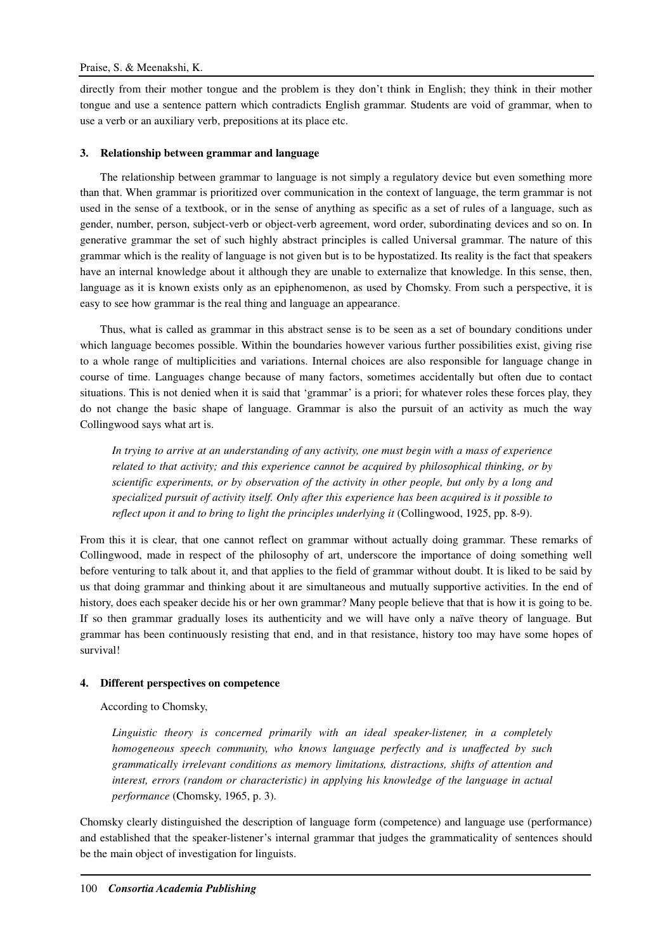directly from their mother tongue and the problem is they don't think in English; they think in their mother tongue and use a sentence pattern which contradicts English grammar. Students are void of grammar, when to use a verb or an auxiliary verb, prepositions at its place etc.

# **3. Relationship between grammar and language**

The relationship between grammar to language is not simply a regulatory device but even something more than that. When grammar is prioritized over communication in the context of language, the term grammar is not used in the sense of a textbook, or in the sense of anything as specific as a set of rules of a language, such as gender, number, person, subject-verb or object-verb agreement, word order, subordinating devices and so on. In generative grammar the set of such highly abstract principles is called Universal grammar. The nature of this grammar which is the reality of language is not given but is to be hypostatized. Its reality is the fact that speakers have an internal knowledge about it although they are unable to externalize that knowledge. In this sense, then, language as it is known exists only as an epiphenomenon, as used by Chomsky. From such a perspective, it is easy to see how grammar is the real thing and language an appearance.

Thus, what is called as grammar in this abstract sense is to be seen as a set of boundary conditions under which language becomes possible. Within the boundaries however various further possibilities exist, giving rise to a whole range of multiplicities and variations. Internal choices are also responsible for language change in course of time. Languages change because of many factors, sometimes accidentally but often due to contact situations. This is not denied when it is said that 'grammar' is a priori; for whatever roles these forces play, they do not change the basic shape of language. Grammar is also the pursuit of an activity as much the way Collingwood says what art is.

*In trying to arrive at an understanding of any activity, one must begin with a mass of experience related to that activity; and this experience cannot be acquired by philosophical thinking, or by scientific experiments, or by observation of the activity in other people, but only by a long and specialized pursuit of activity itself. Only after this experience has been acquired is it possible to reflect upon it and to bring to light the principles underlying it* (Collingwood, 1925, pp. 8-9).

From this it is clear, that one cannot reflect on grammar without actually doing grammar. These remarks of Collingwood, made in respect of the philosophy of art, underscore the importance of doing something well before venturing to talk about it, and that applies to the field of grammar without doubt. It is liked to be said by us that doing grammar and thinking about it are simultaneous and mutually supportive activities. In the end of history, does each speaker decide his or her own grammar? Many people believe that that is how it is going to be. If so then grammar gradually loses its authenticity and we will have only a naïve theory of language. But grammar has been continuously resisting that end, and in that resistance, history too may have some hopes of survival!

## **4. Different perspectives on competence**

According to Chomsky,

*Linguistic theory is concerned primarily with an ideal speaker-listener, in a completely homogeneous speech community, who knows language perfectly and is unaffected by such grammatically irrelevant conditions as memory limitations, distractions, shifts of attention and interest, errors (random or characteristic) in applying his knowledge of the language in actual performance* (Chomsky, 1965, p. 3).

Chomsky clearly distinguished the description of language form (competence) and language use (performance) and established that the speaker-listener's internal grammar that judges the grammaticality of sentences should be the main object of investigation for linguists.